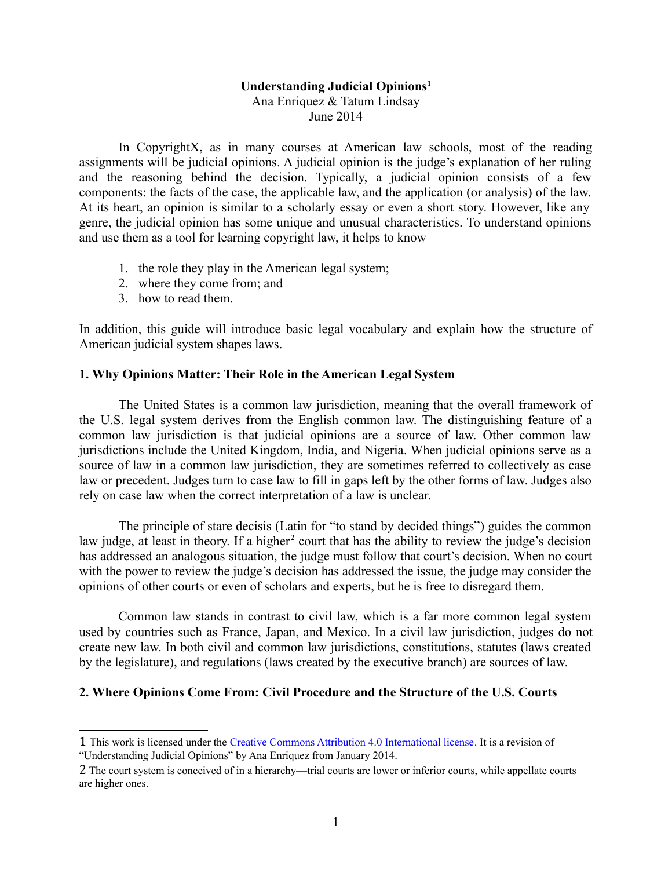# **Understanding Judicial Opinions[1](#page-0-0)**

Ana Enriquez & Tatum Lindsay June 2014

In CopyrightX, as in many courses at American law schools, most of the reading assignments will be judicial opinions. A judicial opinion is the judge's explanation of her ruling and the reasoning behind the decision. Typically, a judicial opinion consists of a few components: the facts of the case, the applicable law, and the application (or analysis) of the law. At its heart, an opinion is similar to a scholarly essay or even a short story. However, like any genre, the judicial opinion has some unique and unusual characteristics. To understand opinions and use them as a tool for learning copyright law, it helps to know

- 1. the role they play in the American legal system;
- 2. where they come from; and
- 3. how to read them.

In addition, this guide will introduce basic legal vocabulary and explain how the structure of American judicial system shapes laws.

# **1. Why Opinions Matter: Their Role in the American Legal System**

The United States is a common law jurisdiction, meaning that the overall framework of the U.S. legal system derives from the English common law. The distinguishing feature of a common law jurisdiction is that judicial opinions are a source of law. Other common law jurisdictions include the United Kingdom, India, and Nigeria. When judicial opinions serve as a source of law in a common law jurisdiction, they are sometimes referred to collectively as case law or precedent. Judges turn to case law to fill in gaps left by the other forms of law. Judges also rely on case law when the correct interpretation of a law is unclear.

The principle of stare decisis (Latin for "to stand by decided things") guides the common law judge, at least in theory. If a higher<sup>[2](#page-0-1)</sup> court that has the ability to review the judge's decision has addressed an analogous situation, the judge must follow that court's decision. When no court with the power to review the judge's decision has addressed the issue, the judge may consider the opinions of other courts or even of scholars and experts, but he is free to disregard them.

Common law stands in contrast to civil law, which is a far more common legal system used by countries such as France, Japan, and Mexico. In a civil law jurisdiction, judges do not create new law. In both civil and common law jurisdictions, constitutions, statutes (laws created by the legislature), and regulations (laws created by the executive branch) are sources of law.

# **2. Where Opinions Come From: Civil Procedure and the Structure of the U.S. Courts**

<span id="page-0-0"></span><sup>1</sup> This work is licensed under the [Creative Commons Attribution 4.0 International license.](http://creativecommons.org/licenses/by/4.0/) It is a revision of "Understanding Judicial Opinions" by Ana Enriquez from January 2014.

<span id="page-0-1"></span><sup>2</sup> The court system is conceived of in a hierarchy—trial courts are lower or inferior courts, while appellate courts are higher ones.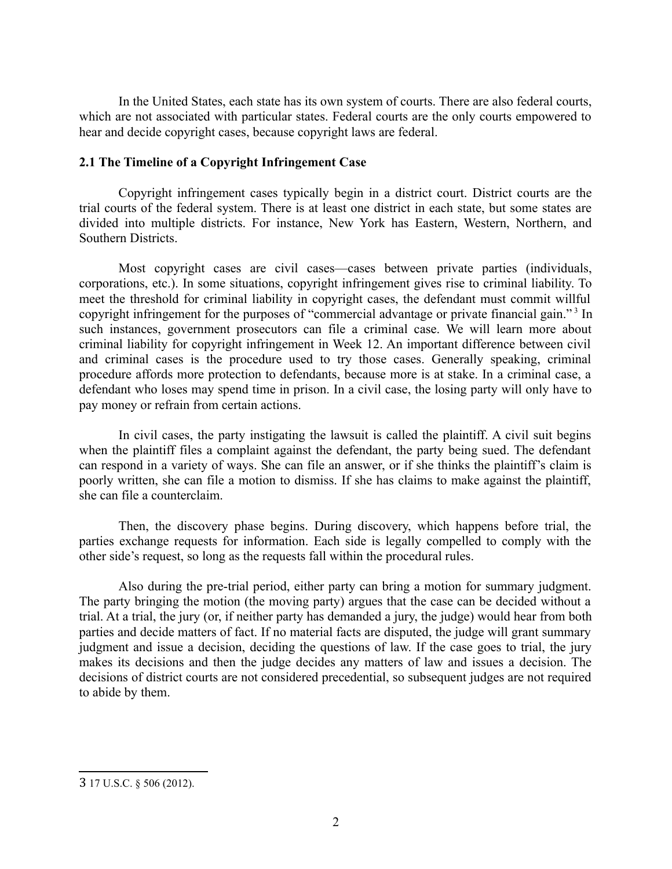In the United States, each state has its own system of courts. There are also federal courts, which are not associated with particular states. Federal courts are the only courts empowered to hear and decide copyright cases, because copyright laws are federal.

## **2.1 The Timeline of a Copyright Infringement Case**

Copyright infringement cases typically begin in a district court. District courts are the trial courts of the federal system. There is at least one district in each state, but some states are divided into multiple districts. For instance, New York has Eastern, Western, Northern, and Southern Districts.

Most copyright cases are civil cases—cases between private parties (individuals, corporations, etc.). In some situations, copyright infringement gives rise to criminal liability. To meet the threshold for criminal liability in copyright cases, the defendant must commit willful copyright infringement for the purposes of "commercial advantage or private financial gain."<sup>[3](#page-1-0)</sup> In such instances, government prosecutors can file a criminal case. We will learn more about criminal liability for copyright infringement in Week 12. An important difference between civil and criminal cases is the procedure used to try those cases. Generally speaking, criminal procedure affords more protection to defendants, because more is at stake. In a criminal case, a defendant who loses may spend time in prison. In a civil case, the losing party will only have to pay money or refrain from certain actions.

In civil cases, the party instigating the lawsuit is called the plaintiff. A civil suit begins when the plaintiff files a complaint against the defendant, the party being sued. The defendant can respond in a variety of ways. She can file an answer, or if she thinks the plaintiff's claim is poorly written, she can file a motion to dismiss. If she has claims to make against the plaintiff, she can file a counterclaim.

Then, the discovery phase begins. During discovery, which happens before trial, the parties exchange requests for information. Each side is legally compelled to comply with the other side's request, so long as the requests fall within the procedural rules.

Also during the pre-trial period, either party can bring a motion for summary judgment. The party bringing the motion (the moving party) argues that the case can be decided without a trial. At a trial, the jury (or, if neither party has demanded a jury, the judge) would hear from both parties and decide matters of fact. If no material facts are disputed, the judge will grant summary judgment and issue a decision, deciding the questions of law. If the case goes to trial, the jury makes its decisions and then the judge decides any matters of law and issues a decision. The decisions of district courts are not considered precedential, so subsequent judges are not required to abide by them.

<span id="page-1-0"></span><sup>3</sup> 17 U.S.C. § 506 (2012).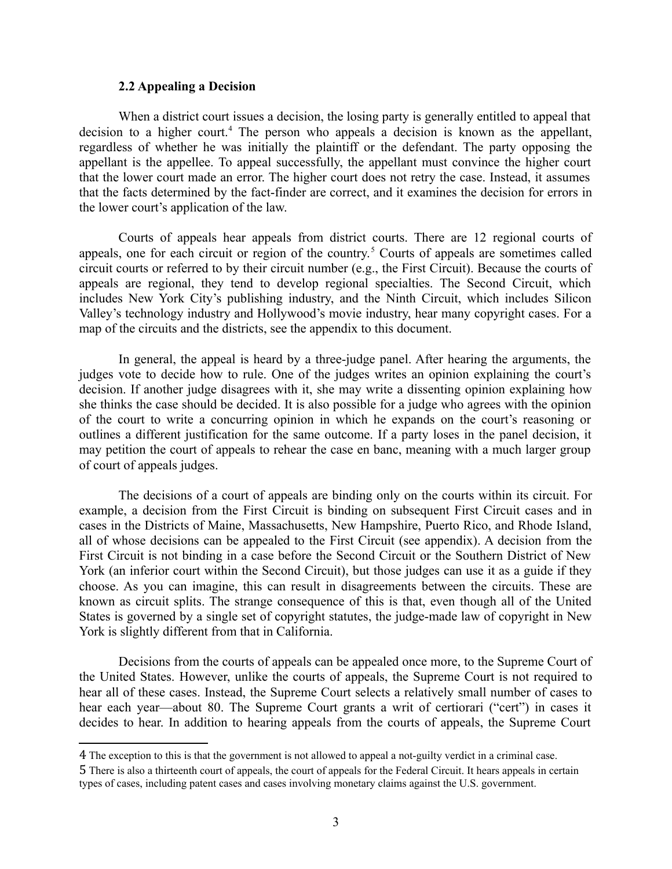#### **2.2 Appealing a Decision**

When a district court issues a decision, the losing party is generally entitled to appeal that decision to a higher court.<sup>[4](#page-2-0)</sup> The person who appeals a decision is known as the appellant, regardless of whether he was initially the plaintiff or the defendant. The party opposing the appellant is the appellee. To appeal successfully, the appellant must convince the higher court that the lower court made an error. The higher court does not retry the case. Instead, it assumes that the facts determined by the fact-finder are correct, and it examines the decision for errors in the lower court's application of the law.

Courts of appeals hear appeals from district courts. There are 12 regional courts of appeals, one for each circuit or region of the country.<sup>[5](#page-2-1)</sup> Courts of appeals are sometimes called circuit courts or referred to by their circuit number (e.g., the First Circuit). Because the courts of appeals are regional, they tend to develop regional specialties. The Second Circuit, which includes New York City's publishing industry, and the Ninth Circuit, which includes Silicon Valley's technology industry and Hollywood's movie industry, hear many copyright cases. For a map of the circuits and the districts, see the appendix to this document.

In general, the appeal is heard by a three-judge panel. After hearing the arguments, the judges vote to decide how to rule. One of the judges writes an opinion explaining the court's decision. If another judge disagrees with it, she may write a dissenting opinion explaining how she thinks the case should be decided. It is also possible for a judge who agrees with the opinion of the court to write a concurring opinion in which he expands on the court's reasoning or outlines a different justification for the same outcome. If a party loses in the panel decision, it may petition the court of appeals to rehear the case en banc, meaning with a much larger group of court of appeals judges.

The decisions of a court of appeals are binding only on the courts within its circuit. For example, a decision from the First Circuit is binding on subsequent First Circuit cases and in cases in the Districts of Maine, Massachusetts, New Hampshire, Puerto Rico, and Rhode Island, all of whose decisions can be appealed to the First Circuit (see appendix). A decision from the First Circuit is not binding in a case before the Second Circuit or the Southern District of New York (an inferior court within the Second Circuit), but those judges can use it as a guide if they choose. As you can imagine, this can result in disagreements between the circuits. These are known as circuit splits. The strange consequence of this is that, even though all of the United States is governed by a single set of copyright statutes, the judge-made law of copyright in New York is slightly different from that in California.

Decisions from the courts of appeals can be appealed once more, to the Supreme Court of the United States. However, unlike the courts of appeals, the Supreme Court is not required to hear all of these cases. Instead, the Supreme Court selects a relatively small number of cases to hear each year—about 80. The Supreme Court grants a writ of certiorari ("cert") in cases it decides to hear. In addition to hearing appeals from the courts of appeals, the Supreme Court

<span id="page-2-0"></span><sup>4</sup> The exception to this is that the government is not allowed to appeal a not-guilty verdict in a criminal case.

<span id="page-2-1"></span><sup>5</sup> There is also a thirteenth court of appeals, the court of appeals for the Federal Circuit. It hears appeals in certain types of cases, including patent cases and cases involving monetary claims against the U.S. government.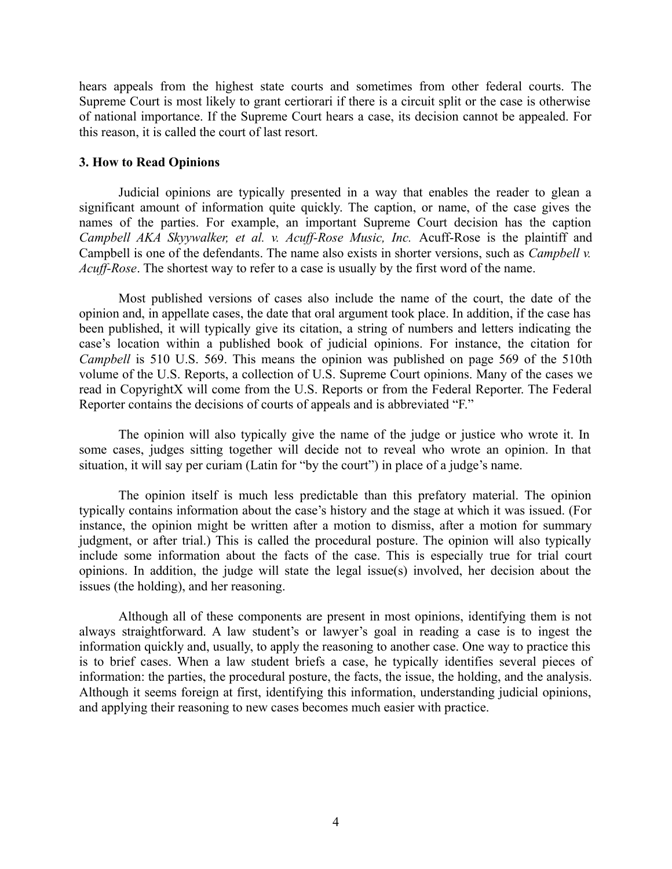hears appeals from the highest state courts and sometimes from other federal courts. The Supreme Court is most likely to grant certiorari if there is a circuit split or the case is otherwise of national importance. If the Supreme Court hears a case, its decision cannot be appealed. For this reason, it is called the court of last resort.

#### **3. How to Read Opinions**

Judicial opinions are typically presented in a way that enables the reader to glean a significant amount of information quite quickly. The caption, or name, of the case gives the names of the parties. For example, an important Supreme Court decision has the caption *Campbell AKA Skyywalker, et al. v. Acuff-Rose Music, Inc.* Acuff-Rose is the plaintiff and Campbell is one of the defendants. The name also exists in shorter versions, such as *Campbell v. Acuff-Rose*. The shortest way to refer to a case is usually by the first word of the name.

Most published versions of cases also include the name of the court, the date of the opinion and, in appellate cases, the date that oral argument took place. In addition, if the case has been published, it will typically give its citation, a string of numbers and letters indicating the case's location within a published book of judicial opinions. For instance, the citation for *Campbell* is 510 U.S. 569. This means the opinion was published on page 569 of the 510th volume of the U.S. Reports, a collection of U.S. Supreme Court opinions. Many of the cases we read in CopyrightX will come from the U.S. Reports or from the Federal Reporter. The Federal Reporter contains the decisions of courts of appeals and is abbreviated "F."

The opinion will also typically give the name of the judge or justice who wrote it. In some cases, judges sitting together will decide not to reveal who wrote an opinion. In that situation, it will say per curiam (Latin for "by the court") in place of a judge's name.

The opinion itself is much less predictable than this prefatory material. The opinion typically contains information about the case's history and the stage at which it was issued. (For instance, the opinion might be written after a motion to dismiss, after a motion for summary judgment, or after trial.) This is called the procedural posture. The opinion will also typically include some information about the facts of the case. This is especially true for trial court opinions. In addition, the judge will state the legal issue(s) involved, her decision about the issues (the holding), and her reasoning.

Although all of these components are present in most opinions, identifying them is not always straightforward. A law student's or lawyer's goal in reading a case is to ingest the information quickly and, usually, to apply the reasoning to another case. One way to practice this is to brief cases. When a law student briefs a case, he typically identifies several pieces of information: the parties, the procedural posture, the facts, the issue, the holding, and the analysis. Although it seems foreign at first, identifying this information, understanding judicial opinions, and applying their reasoning to new cases becomes much easier with practice.